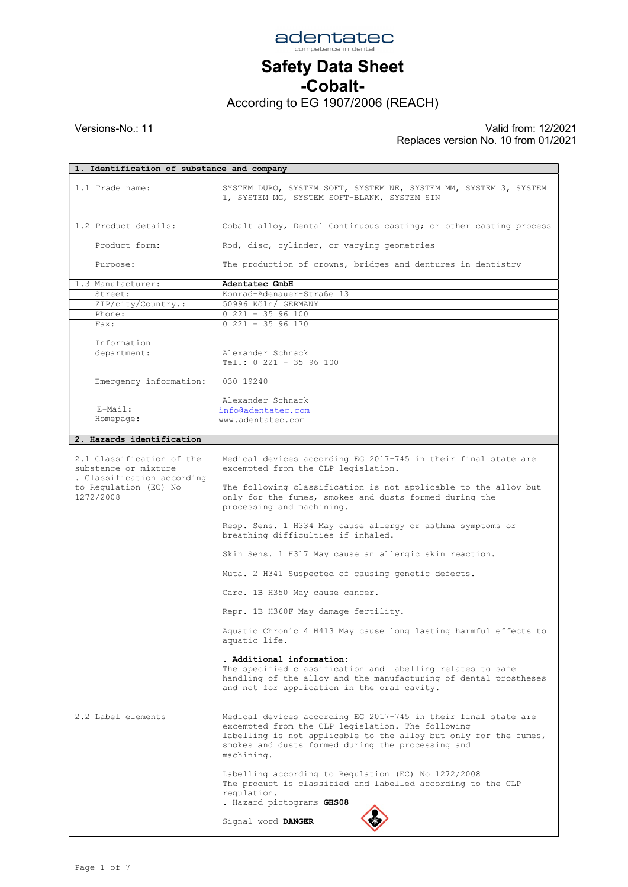

-Cobalt-

According to EG 1907/2006 (REACH)

|                                                                                 | 1. Identification of substance and company                                                                                                                                                                                                                 |  |  |
|---------------------------------------------------------------------------------|------------------------------------------------------------------------------------------------------------------------------------------------------------------------------------------------------------------------------------------------------------|--|--|
| 1.1 Trade name:                                                                 | SYSTEM DURO, SYSTEM SOFT, SYSTEM NE, SYSTEM MM, SYSTEM 3, SYSTEM<br>1, SYSTEM MG, SYSTEM SOFT-BLANK, SYSTEM SIN                                                                                                                                            |  |  |
| 1.2 Product details:                                                            | Cobalt alloy, Dental Continuous casting; or other casting process                                                                                                                                                                                          |  |  |
| Product form:                                                                   | Rod, disc, cylinder, or varying geometries                                                                                                                                                                                                                 |  |  |
| Purpose:                                                                        | The production of crowns, bridges and dentures in dentistry                                                                                                                                                                                                |  |  |
| 1.3 Manufacturer:                                                               | Adentatec GmbH                                                                                                                                                                                                                                             |  |  |
| Street:                                                                         | Konrad-Adenauer-Straße 13                                                                                                                                                                                                                                  |  |  |
| ZIP/city/Country.:                                                              | 50996 Köln/ GERMANY                                                                                                                                                                                                                                        |  |  |
| Phone:                                                                          | $0$ 221 - 35 96 100                                                                                                                                                                                                                                        |  |  |
| Fax:                                                                            | $0$ 221 - 35 96 170                                                                                                                                                                                                                                        |  |  |
| Information                                                                     |                                                                                                                                                                                                                                                            |  |  |
| department:                                                                     | Alexander Schnack<br>Tel.: 0 221 - 35 96 100                                                                                                                                                                                                               |  |  |
| Emergency information:                                                          | 030 19240                                                                                                                                                                                                                                                  |  |  |
| E-Mail:                                                                         | Alexander Schnack<br>info@adentatec.com                                                                                                                                                                                                                    |  |  |
| Homepage:                                                                       | www.adentatec.com                                                                                                                                                                                                                                          |  |  |
|                                                                                 |                                                                                                                                                                                                                                                            |  |  |
| 2. Hazards identification                                                       |                                                                                                                                                                                                                                                            |  |  |
|                                                                                 |                                                                                                                                                                                                                                                            |  |  |
| 2.1 Classification of the<br>substance or mixture<br>. Classification according | Medical devices according EG 2017-745 in their final state are<br>excempted from the CLP legislation.                                                                                                                                                      |  |  |
| to Regulation (EC) No<br>1272/2008                                              | The following classification is not applicable to the alloy but<br>only for the fumes, smokes and dusts formed during the<br>processing and machining.                                                                                                     |  |  |
|                                                                                 | Resp. Sens. 1 H334 May cause allergy or asthma symptoms or<br>breathing difficulties if inhaled.                                                                                                                                                           |  |  |
|                                                                                 | Skin Sens. 1 H317 May cause an allergic skin reaction.                                                                                                                                                                                                     |  |  |
|                                                                                 | Muta. 2 H341 Suspected of causing genetic defects.                                                                                                                                                                                                         |  |  |
|                                                                                 | Carc. 1B H350 May cause cancer.                                                                                                                                                                                                                            |  |  |
|                                                                                 | Repr. 1B H360F May damage fertility.                                                                                                                                                                                                                       |  |  |
|                                                                                 | Aquatic Chronic 4 H413 May cause long lasting harmful effects to<br>aquatic life.                                                                                                                                                                          |  |  |
|                                                                                 | . Additional information:                                                                                                                                                                                                                                  |  |  |
|                                                                                 | The specified classification and labelling relates to safe<br>handling of the alloy and the manufacturing of dental prostheses<br>and not for application in the oral cavity.                                                                              |  |  |
| 2.2 Label elements                                                              | Medical devices according EG 2017-745 in their final state are<br>excempted from the CLP legislation. The following<br>labelling is not applicable to the alloy but only for the fumes,<br>smokes and dusts formed during the processing and<br>machining. |  |  |
|                                                                                 | Labelling according to Regulation (EC) No 1272/2008<br>The product is classified and labelled according to the CLP<br>regulation.<br>. Hazard pictograms GHS08                                                                                             |  |  |
|                                                                                 | Signal word DANGER                                                                                                                                                                                                                                         |  |  |
|                                                                                 |                                                                                                                                                                                                                                                            |  |  |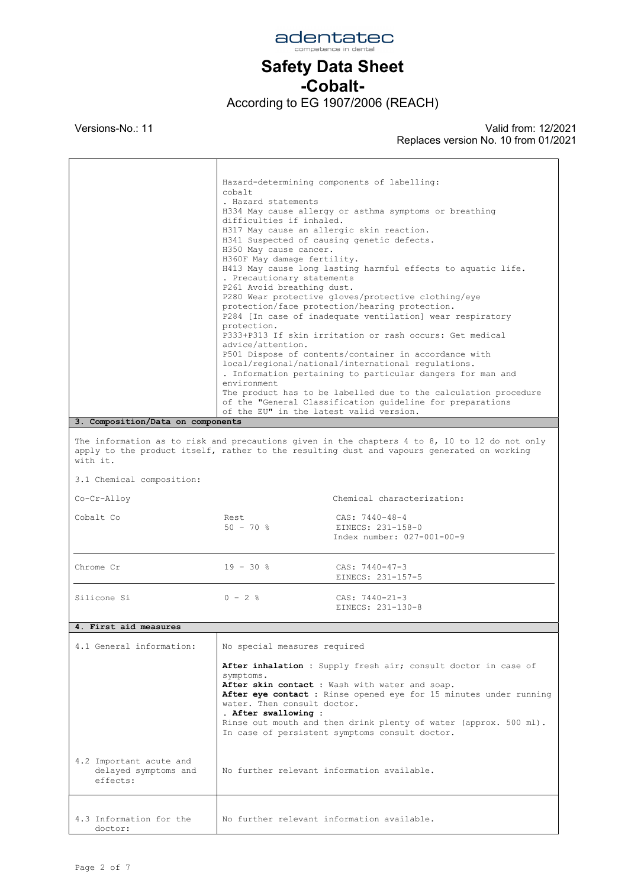

#### -Cobalt-

According to EG 1907/2006 (REACH)

 $\overline{1}$ 

 $\mathsf{T}$ 

Versions-No.: 11 Valid from: 12/2021 Replaces version No. 10 from 01/2021

 $\overline{\phantom{a}}$ 

|                                                                                                                                                                                                         | cobalt<br>. Hazard statements<br>difficulties if inhaled.<br>H317 May cause an allergic skin reaction.<br>H350 May cause cancer.<br>H360F May damage fertility.<br>. Precautionary statements<br>P261 Avoid breathing dust.<br>protection.<br>advice/attention.<br>environment<br>of the EU" in the latest valid version.                                                       | Hazard-determining components of labelling:<br>H334 May cause allergy or asthma symptoms or breathing<br>H341 Suspected of causing genetic defects.<br>H413 May cause long lasting harmful effects to aquatic life.<br>P280 Wear protective gloves/protective clothing/eye<br>protection/face protection/hearing protection.<br>P284 [In case of inadequate ventilation] wear respiratory<br>P333+P313 If skin irritation or rash occurs: Get medical<br>P501 Dispose of contents/container in accordance with<br>local/regional/national/international regulations.<br>. Information pertaining to particular dangers for man and<br>The product has to be labelled due to the calculation procedure<br>of the "General Classification quideline for preparations |  |  |
|---------------------------------------------------------------------------------------------------------------------------------------------------------------------------------------------------------|---------------------------------------------------------------------------------------------------------------------------------------------------------------------------------------------------------------------------------------------------------------------------------------------------------------------------------------------------------------------------------|--------------------------------------------------------------------------------------------------------------------------------------------------------------------------------------------------------------------------------------------------------------------------------------------------------------------------------------------------------------------------------------------------------------------------------------------------------------------------------------------------------------------------------------------------------------------------------------------------------------------------------------------------------------------------------------------------------------------------------------------------------------------|--|--|
| 3. Composition/Data on components                                                                                                                                                                       |                                                                                                                                                                                                                                                                                                                                                                                 |                                                                                                                                                                                                                                                                                                                                                                                                                                                                                                                                                                                                                                                                                                                                                                    |  |  |
| The information as to risk and precautions given in the chapters 4 to 8, 10 to 12 do not only<br>apply to the product itself, rather to the resulting dust and vapours generated on working<br>with it. |                                                                                                                                                                                                                                                                                                                                                                                 |                                                                                                                                                                                                                                                                                                                                                                                                                                                                                                                                                                                                                                                                                                                                                                    |  |  |
| 3.1 Chemical composition:                                                                                                                                                                               |                                                                                                                                                                                                                                                                                                                                                                                 |                                                                                                                                                                                                                                                                                                                                                                                                                                                                                                                                                                                                                                                                                                                                                                    |  |  |
| Co-Cr-Alloy                                                                                                                                                                                             |                                                                                                                                                                                                                                                                                                                                                                                 | Chemical characterization:                                                                                                                                                                                                                                                                                                                                                                                                                                                                                                                                                                                                                                                                                                                                         |  |  |
| Cobalt Co                                                                                                                                                                                               | Rest<br>$50 - 70$ %                                                                                                                                                                                                                                                                                                                                                             | CAS: 7440-48-4<br>EINECS: 231-158-0<br>Index number: 027-001-00-9                                                                                                                                                                                                                                                                                                                                                                                                                                                                                                                                                                                                                                                                                                  |  |  |
| Chrome Cr                                                                                                                                                                                               | $19 - 30$ %                                                                                                                                                                                                                                                                                                                                                                     | CAS: $7440 - 47 - 3$<br>EINECS: 231-157-5                                                                                                                                                                                                                                                                                                                                                                                                                                                                                                                                                                                                                                                                                                                          |  |  |
| Silicone Si                                                                                                                                                                                             | $0 - 2$ %                                                                                                                                                                                                                                                                                                                                                                       | $CAS: 7440 - 21 - 3$<br>EINECS: 231-130-8                                                                                                                                                                                                                                                                                                                                                                                                                                                                                                                                                                                                                                                                                                                          |  |  |
| 4. First aid measures                                                                                                                                                                                   |                                                                                                                                                                                                                                                                                                                                                                                 |                                                                                                                                                                                                                                                                                                                                                                                                                                                                                                                                                                                                                                                                                                                                                                    |  |  |
| 4.1 General information:                                                                                                                                                                                | No special measures required                                                                                                                                                                                                                                                                                                                                                    |                                                                                                                                                                                                                                                                                                                                                                                                                                                                                                                                                                                                                                                                                                                                                                    |  |  |
|                                                                                                                                                                                                         | After inhalation : Supply fresh air; consult doctor in case of<br>symptoms.<br>After skin contact : Wash with water and soap.<br>After eye contact : Rinse opened eye for 15 minutes under running<br>water. Then consult doctor.<br>. After swallowing :<br>Rinse out mouth and then drink plenty of water (approx. 500 ml).<br>In case of persistent symptoms consult doctor. |                                                                                                                                                                                                                                                                                                                                                                                                                                                                                                                                                                                                                                                                                                                                                                    |  |  |
| 4.2 Important acute and<br>delayed symptoms and<br>effects:                                                                                                                                             |                                                                                                                                                                                                                                                                                                                                                                                 | No further relevant information available.                                                                                                                                                                                                                                                                                                                                                                                                                                                                                                                                                                                                                                                                                                                         |  |  |
| 4.3 Information for the<br>doctor:                                                                                                                                                                      |                                                                                                                                                                                                                                                                                                                                                                                 | No further relevant information available.                                                                                                                                                                                                                                                                                                                                                                                                                                                                                                                                                                                                                                                                                                                         |  |  |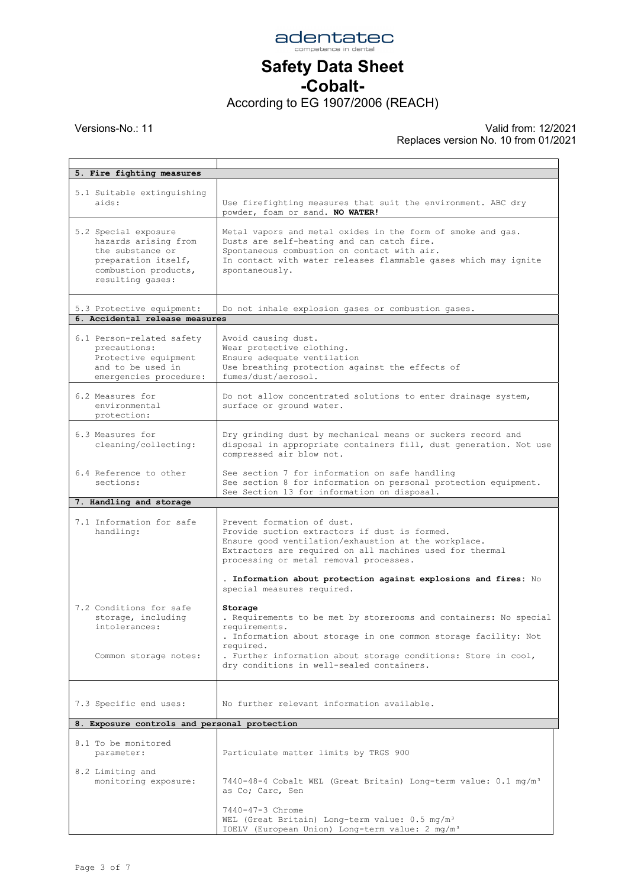

-Cobalt-

According to EG 1907/2006 (REACH)

| 5. Fire fighting measures                                                                                                           |                                                                                                                                                                                                                                                                                              |
|-------------------------------------------------------------------------------------------------------------------------------------|----------------------------------------------------------------------------------------------------------------------------------------------------------------------------------------------------------------------------------------------------------------------------------------------|
|                                                                                                                                     |                                                                                                                                                                                                                                                                                              |
| 5.1 Suitable extinguishing<br>aids:                                                                                                 | Use firefighting measures that suit the environment. ABC dry<br>powder, foam or sand. NO WATER!                                                                                                                                                                                              |
| 5.2 Special exposure<br>hazards arising from<br>the substance or<br>preparation itself,<br>combustion products,<br>resulting gases: | Metal vapors and metal oxides in the form of smoke and gas.<br>Dusts are self-heating and can catch fire.<br>Spontaneous combustion on contact with air.<br>In contact with water releases flammable gases which may ignite<br>spontaneously.                                                |
| 5.3 Protective equipment:<br>6. Accidental release measures                                                                         | Do not inhale explosion gases or combustion gases.                                                                                                                                                                                                                                           |
|                                                                                                                                     |                                                                                                                                                                                                                                                                                              |
| 6.1 Person-related safety<br>precautions:<br>Protective equipment<br>and to be used in<br>emergencies procedure:                    | Avoid causing dust.<br>Wear protective clothing.<br>Ensure adequate ventilation<br>Use breathing protection against the effects of<br>fumes/dust/aerosol.                                                                                                                                    |
| 6.2 Measures for<br>environmental<br>protection:                                                                                    | Do not allow concentrated solutions to enter drainage system,<br>surface or ground water.                                                                                                                                                                                                    |
| 6.3 Measures for<br>cleaning/collecting:                                                                                            | Dry grinding dust by mechanical means or suckers record and<br>disposal in appropriate containers fill, dust generation. Not use<br>compressed air blow not.                                                                                                                                 |
| 6.4 Reference to other<br>sections:                                                                                                 | See section 7 for information on safe handling<br>See section 8 for information on personal protection equipment.<br>See Section 13 for information on disposal.                                                                                                                             |
| 7. Handling and storage                                                                                                             |                                                                                                                                                                                                                                                                                              |
| 7.1 Information for safe<br>handling:                                                                                               | Prevent formation of dust.<br>Provide suction extractors if dust is formed.<br>Ensure good ventilation/exhaustion at the workplace.<br>Extractors are required on all machines used for thermal<br>processing or metal removal processes.                                                    |
|                                                                                                                                     | . Information about protection against explosions and fires: No<br>special measures required.                                                                                                                                                                                                |
| 7.2 Conditions for safe<br>storage, including<br>intolerances:<br>Common storage notes:                                             | Storage<br>. Requirements to be met by storerooms and containers: No special<br>requirements.<br>. Information about storage in one common storage facility: Not<br>required.<br>. Further information about storage conditions: Store in cool,<br>dry conditions in well-sealed containers. |
| 7.3 Specific end uses:                                                                                                              | No further relevant information available.                                                                                                                                                                                                                                                   |
| 8. Exposure controls and personal protection                                                                                        |                                                                                                                                                                                                                                                                                              |
| 8.1 To be monitored<br>parameter:                                                                                                   | Particulate matter limits by TRGS 900                                                                                                                                                                                                                                                        |
| 8.2 Limiting and<br>monitoring exposure:                                                                                            | 7440-48-4 Cobalt WEL (Great Britain) Long-term value: 0.1 mg/m <sup>3</sup><br>as Co; Carc, Sen                                                                                                                                                                                              |
|                                                                                                                                     | 7440-47-3 Chrome<br>WEL (Great Britain) Long-term value: 0.5 mg/m <sup>3</sup>                                                                                                                                                                                                               |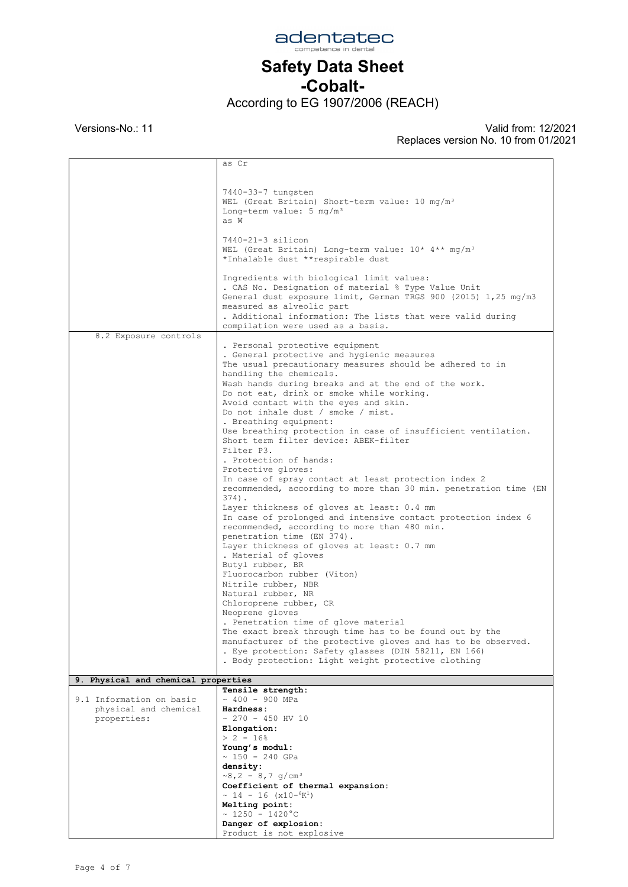

#### Safety Data Sheet -Cobalt-

According to EG 1907/2006 (REACH)

 $\mathsf{r}$ 

Versions-No.: 11 Valid from: 12/2021 Replaces version No. 10 from 01/2021

 $\overline{\phantom{0}}$ 

|                                     | as Cr                                                            |
|-------------------------------------|------------------------------------------------------------------|
|                                     |                                                                  |
|                                     |                                                                  |
|                                     | 7440-33-7 tungsten                                               |
|                                     | WEL (Great Britain) Short-term value: 10 mg/m <sup>3</sup>       |
|                                     | Long-term value: $5 \text{ mg/m}^3$                              |
|                                     | as W                                                             |
|                                     | 7440-21-3 silicon                                                |
|                                     | WEL (Great Britain) Long-term value: 10* 4** mg/m <sup>3</sup>   |
|                                     | *Inhalable dust **respirable dust                                |
|                                     |                                                                  |
|                                     | Ingredients with biological limit values:                        |
|                                     | . CAS No. Designation of material % Type Value Unit              |
|                                     | General dust exposure limit, German TRGS 900 (2015) 1,25 mg/m3   |
|                                     | measured as alveolic part                                        |
|                                     | . Additional information: The lists that were valid during       |
| 8.2 Exposure controls               | compilation were used as a basis.                                |
|                                     | . Personal protective equipment                                  |
|                                     | . General protective and hygienic measures                       |
|                                     | The usual precautionary measures should be adhered to in         |
|                                     | handling the chemicals.                                          |
|                                     | Wash hands during breaks and at the end of the work.             |
|                                     | Do not eat, drink or smoke while working.                        |
|                                     | Avoid contact with the eyes and skin.                            |
|                                     | Do not inhale dust / smoke / mist.<br>. Breathing equipment:     |
|                                     | Use breathing protection in case of insufficient ventilation.    |
|                                     | Short term filter device: ABEK-filter                            |
|                                     | Filter P3.                                                       |
|                                     | . Protection of hands:                                           |
|                                     | Protective gloves:                                               |
|                                     | In case of spray contact at least protection index 2             |
|                                     | recommended, according to more than 30 min. penetration time (EN |
|                                     | $374$ .<br>Layer thickness of gloves at least: 0.4 mm            |
|                                     | In case of prolonged and intensive contact protection index 6    |
|                                     | recommended, according to more than 480 min.                     |
|                                     | penetration time (EN 374).                                       |
|                                     | Layer thickness of gloves at least: 0.7 mm                       |
|                                     | . Material of gloves                                             |
|                                     | Butyl rubber, BR                                                 |
|                                     | Fluorocarbon rubber (Viton)                                      |
|                                     | Nitrile rubber, NBR<br>Natural rubber, NR                        |
|                                     | Chloroprene rubber, CR                                           |
|                                     | Neoprene gloves                                                  |
|                                     | . Penetration time of glove material                             |
|                                     | The exact break through time has to be found out by the          |
|                                     | manufacturer of the protective gloves and has to be observed.    |
|                                     | . Eye protection: Safety glasses (DIN 58211, EN 166)             |
|                                     | . Body protection: Light weight protective clothing              |
| 9. Physical and chemical properties |                                                                  |
|                                     | Tensile strength:                                                |
| 9.1 Information on basic            | $\sim$ 400 - 900 MPa                                             |
| physical and chemical               | Hardness:                                                        |
| properties:                         | $\sim$ 270 - 450 HV 10                                           |
|                                     | Elongation:                                                      |
|                                     | $> 2 - 16$ <sup>8</sup>                                          |
|                                     | Young's modul:<br>$\sim$ 150 - 240 GPa                           |
|                                     | density:                                                         |
|                                     | $\sim 8, 2 - 8, 7$ g/cm <sup>3</sup>                             |
|                                     | Coefficient of thermal expansion:                                |
|                                     | $\sim 14 - 16$ (x10- $^{6}$ K <sup>1</sup> )                     |
|                                     | Melting point:                                                   |
|                                     | $\sim 1250 - 1420^{\circ}C$                                      |
|                                     | Danger of explosion:                                             |
|                                     | Product is not explosive                                         |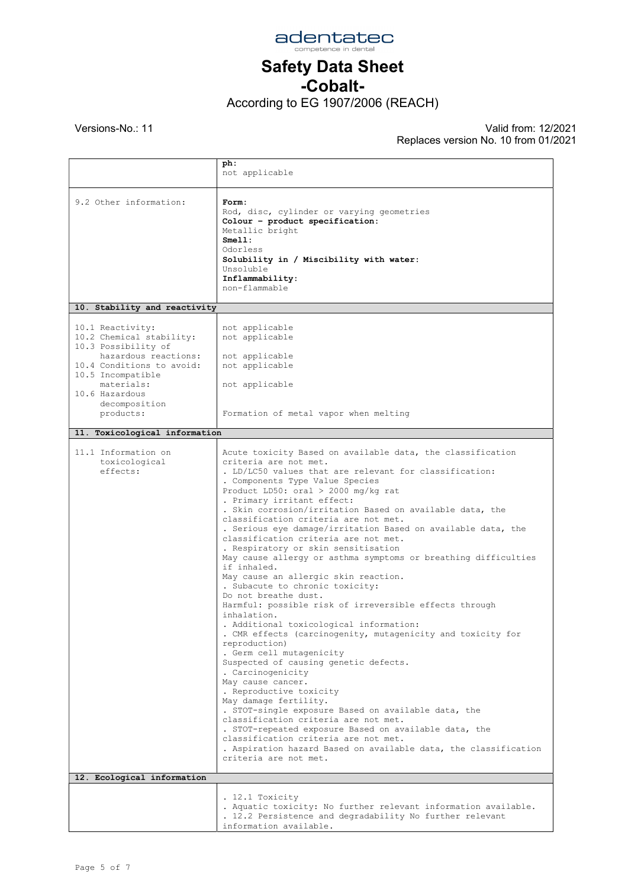

-Cobalt-

According to EG 1907/2006 (REACH)

|                                                                                                                                                                                                             | ph:<br>not applicable                                                                                                                                                                                                                                                                                                                                                                                                                                                                                                                                                                                                                                                                                                                                                                                                                                                                                                                                                                                                                                                                                                                                                                                                                                                                                                                                             |
|-------------------------------------------------------------------------------------------------------------------------------------------------------------------------------------------------------------|-------------------------------------------------------------------------------------------------------------------------------------------------------------------------------------------------------------------------------------------------------------------------------------------------------------------------------------------------------------------------------------------------------------------------------------------------------------------------------------------------------------------------------------------------------------------------------------------------------------------------------------------------------------------------------------------------------------------------------------------------------------------------------------------------------------------------------------------------------------------------------------------------------------------------------------------------------------------------------------------------------------------------------------------------------------------------------------------------------------------------------------------------------------------------------------------------------------------------------------------------------------------------------------------------------------------------------------------------------------------|
| 9.2 Other information:                                                                                                                                                                                      | Form:<br>Rod, disc, cylinder or varying geometries<br>Colour - product specification:<br>Metallic bright<br>Sme11:<br>Odorless<br>Solubility in / Miscibility with water:<br>Unsoluble<br>Inflammability:<br>non-flammable                                                                                                                                                                                                                                                                                                                                                                                                                                                                                                                                                                                                                                                                                                                                                                                                                                                                                                                                                                                                                                                                                                                                        |
| 10. Stability and reactivity                                                                                                                                                                                |                                                                                                                                                                                                                                                                                                                                                                                                                                                                                                                                                                                                                                                                                                                                                                                                                                                                                                                                                                                                                                                                                                                                                                                                                                                                                                                                                                   |
| 10.1 Reactivity:<br>10.2 Chemical stability:<br>10.3 Possibility of<br>hazardous reactions:<br>10.4 Conditions to avoid:<br>10.5 Incompatible<br>materials:<br>10.6 Hazardous<br>decomposition<br>products: | not applicable<br>not applicable<br>not applicable<br>not applicable<br>not applicable<br>Formation of metal vapor when melting                                                                                                                                                                                                                                                                                                                                                                                                                                                                                                                                                                                                                                                                                                                                                                                                                                                                                                                                                                                                                                                                                                                                                                                                                                   |
| 11. Toxicological information                                                                                                                                                                               |                                                                                                                                                                                                                                                                                                                                                                                                                                                                                                                                                                                                                                                                                                                                                                                                                                                                                                                                                                                                                                                                                                                                                                                                                                                                                                                                                                   |
| 11.1 Information on<br>toxicological<br>effects:                                                                                                                                                            | Acute toxicity Based on available data, the classification<br>criteria are not met.<br>. LD/LC50 values that are relevant for classification:<br>. Components Type Value Species<br>Product LD50: oral $>$ 2000 mg/kg rat<br>. Primary irritant effect:<br>. Skin corrosion/irritation Based on available data, the<br>classification criteria are not met.<br>. Serious eye damage/irritation Based on available data, the<br>classification criteria are not met.<br>. Respiratory or skin sensitisation<br>May cause allergy or asthma symptoms or breathing difficulties<br>if inhaled.<br>May cause an allergic skin reaction.<br>. Subacute to chronic toxicity:<br>Do not breathe dust.<br>Harmful: possible risk of irreversible effects through<br>inhalation.<br>. Additional toxicological information:<br>. CMR effects (carcinogenity, mutagenicity and toxicity for<br>reproduction)<br>. Germ cell mutagenicity<br>Suspected of causing genetic defects.<br>. Carcinogenicity<br>May cause cancer.<br>. Reproductive toxicity<br>May damage fertility.<br>. STOT-single exposure Based on available data, the<br>classification criteria are not met.<br>. STOT-repeated exposure Based on available data, the<br>classification criteria are not met.<br>. Aspiration hazard Based on available data, the classification<br>criteria are not met. |
| 12. Ecological information                                                                                                                                                                                  |                                                                                                                                                                                                                                                                                                                                                                                                                                                                                                                                                                                                                                                                                                                                                                                                                                                                                                                                                                                                                                                                                                                                                                                                                                                                                                                                                                   |
|                                                                                                                                                                                                             | . 12.1 Toxicity<br>. Aquatic toxicity: No further relevant information available.<br>. 12.2 Persistence and degradability No further relevant<br>information available.                                                                                                                                                                                                                                                                                                                                                                                                                                                                                                                                                                                                                                                                                                                                                                                                                                                                                                                                                                                                                                                                                                                                                                                           |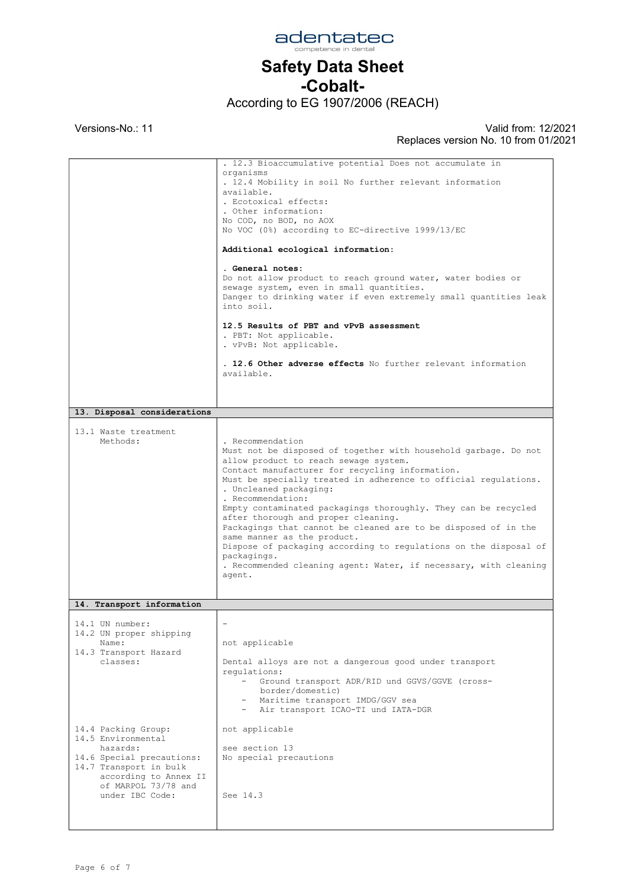

### -Cobalt-

According to EG 1907/2006 (REACH)

|                                                                                                                                                                                 | . 12.3 Bioaccumulative potential Does not accumulate in<br>organisms<br>. 12.4 Mobility in soil No further relevant information<br>available.<br>. Ecotoxical effects:<br>. Other information:<br>No COD, no BOD, no AOX<br>No VOC (0%) according to EC-directive 1999/13/EC<br>Additional ecological information:<br>. General notes:<br>Do not allow product to reach ground water, water bodies or<br>sewage system, even in small quantities.<br>Danger to drinking water if even extremely small quantities leak<br>into soil.<br>12.5 Results of PBT and vPvB assessment<br>. PBT: Not applicable.<br>. vPvB: Not applicable.<br>. 12.6 Other adverse effects No further relevant information<br>available. |
|---------------------------------------------------------------------------------------------------------------------------------------------------------------------------------|-------------------------------------------------------------------------------------------------------------------------------------------------------------------------------------------------------------------------------------------------------------------------------------------------------------------------------------------------------------------------------------------------------------------------------------------------------------------------------------------------------------------------------------------------------------------------------------------------------------------------------------------------------------------------------------------------------------------|
|                                                                                                                                                                                 |                                                                                                                                                                                                                                                                                                                                                                                                                                                                                                                                                                                                                                                                                                                   |
| 13. Disposal considerations                                                                                                                                                     |                                                                                                                                                                                                                                                                                                                                                                                                                                                                                                                                                                                                                                                                                                                   |
| 13.1 Waste treatment<br>Methods:                                                                                                                                                | . Recommendation<br>Must not be disposed of together with household garbage. Do not<br>allow product to reach sewage system.<br>Contact manufacturer for recycling information.<br>Must be specially treated in adherence to official regulations.<br>. Uncleaned packaging:<br>. Recommendation:<br>Empty contaminated packagings thoroughly. They can be recycled<br>after thorough and proper cleaning.<br>Packagings that cannot be cleaned are to be disposed of in the<br>same manner as the product.<br>Dispose of packaging according to regulations on the disposal of<br>packagings.<br>. Recommended cleaning agent: Water, if necessary, with cleaning<br>agent.                                      |
|                                                                                                                                                                                 |                                                                                                                                                                                                                                                                                                                                                                                                                                                                                                                                                                                                                                                                                                                   |
| 14. Transport information                                                                                                                                                       |                                                                                                                                                                                                                                                                                                                                                                                                                                                                                                                                                                                                                                                                                                                   |
| 14.1 UN number:<br>14.2 UN proper shipping<br>Name:<br>14.3 Transport Hazard<br>classes:                                                                                        | not applicable<br>Dental alloys are not a dangerous good under transport<br>requlations:<br>Ground transport ADR/RID und GGVS/GGVE (cross-<br>border/domestic)<br>- Maritime transport IMDG/GGV sea<br>- Air transport ICAO-TI und IATA-DGR                                                                                                                                                                                                                                                                                                                                                                                                                                                                       |
| 14.4 Packing Group:<br>14.5 Environmental<br>hazards:<br>14.6 Special precautions:<br>14.7 Transport in bulk<br>according to Annex II<br>of MARPOL 73/78 and<br>under IBC Code: | not applicable<br>see section 13<br>No special precautions<br>See 14.3                                                                                                                                                                                                                                                                                                                                                                                                                                                                                                                                                                                                                                            |